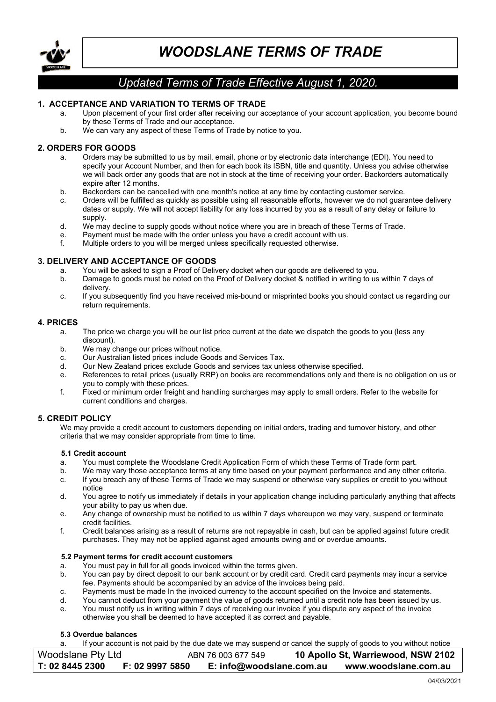

# Updated Terms of Trade Effective August 1, 2020.

# 1. ACCEPTANCE AND VARIATION TO TERMS OF TRADE

- a. Upon placement of your first order after receiving our acceptance of your account application, you become bound by these Terms of Trade and our acceptance.
- b. We can vary any aspect of these Terms of Trade by notice to you.

# 2. ORDERS FOR GOODS

- a. Orders may be submitted to us by mail, email, phone or by electronic data interchange (EDI). You need to specify your Account Number, and then for each book its ISBN, title and quantity. Unless you advise otherwise we will back order any goods that are not in stock at the time of receiving your order. Backorders automatically expire after 12 months.
- b. Backorders can be cancelled with one month's notice at any time by contacting customer service.
- c. Orders will be fulfilled as quickly as possible using all reasonable efforts, however we do not guarantee delivery dates or supply. We will not accept liability for any loss incurred by you as a result of any delay or failure to supply
- d. We may decline to supply goods without notice where you are in breach of these Terms of Trade.
- e. Payment must be made with the order unless you have a credit account with us.<br>f Multiple orders to you will be merged unless specifically requested otherwise
- Multiple orders to you will be merged unless specifically requested otherwise.

## 3. DELIVERY AND ACCEPTANCE OF GOODS

- a. You will be asked to sign a Proof of Delivery docket when our goods are delivered to you.
- b. Damage to goods must be noted on the Proof of Delivery docket & notified in writing to us within 7 days of delivery.
- c. If you subsequently find you have received mis-bound or misprinted books you should contact us regarding our return requirements.

## 4. PRICES

- a. The price we charge you will be our list price current at the date we dispatch the goods to you (less any discount).
- b. We may change our prices without notice.
- c. Our Australian listed prices include Goods and Services Tax.
- d. Our New Zealand prices exclude Goods and services tax unless otherwise specified.
- e. References to retail prices (usually RRP) on books are recommendations only and there is no obligation on us or you to comply with these prices.
- f. Fixed or minimum order freight and handling surcharges may apply to small orders. Refer to the website for current conditions and charges.

# 5. CREDIT POLICY

We may provide a credit account to customers depending on initial orders, trading and turnover history, and other criteria that we may consider appropriate from time to time.

#### 5.1 Credit account

- a. You must complete the Woodslane Credit Application Form of which these Terms of Trade form part.
- We may vary those acceptance terms at any time based on your payment performance and any other criteria. c. If you breach any of these Terms of Trade we may suspend or otherwise vary supplies or credit to you without
- notice
- d. You agree to notify us immediately if details in your application change including particularly anything that affects your ability to pay us when due.
- e. Any change of ownership must be notified to us within 7 days whereupon we may vary, suspend or terminate credit facilities.
- f. Credit balances arising as a result of returns are not repayable in cash, but can be applied against future credit purchases. They may not be applied against aged amounts owing and or overdue amounts.

#### 5.2 Payment terms for credit account customers

- a. You must pay in full for all goods invoiced within the terms given.
- b. You can pay by direct deposit to our bank account or by credit card. Credit card payments may incur a service fee. Payments should be accompanied by an advice of the invoices being paid.
- c. Payments must be made In the invoiced currency to the account specified on the Invoice and statements.
- d. You cannot deduct from your payment the value of goods returned until a credit note has been issued by us.<br>e. You must notify us in writing within 7 days of receiving our invoice if you dispute any aspect of the invoice
- You must notify us in writing within 7 days of receiving our invoice if you dispute any aspect of the invoice otherwise you shall be deemed to have accepted it as correct and payable.

#### 5.3 Overdue balances

a. If your account is not paid by the due date we may suspend or cancel the supply of goods to you without notice

| Woodslane Pty Ltd |                 | ABN 76 003 677 549       | 10 Apollo St, Warriewood, NSW 2102 |
|-------------------|-----------------|--------------------------|------------------------------------|
| T: 02 8445 2300   | F: 02 9997 5850 | E: info@woodslane.com.au | www.woodslane.com.au               |